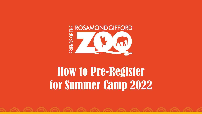

# How to Pre-Register for Summer Camp 2022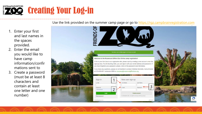

Use the link provided on the summer camp page or go to [https://rgz.campbrainregistration.com](https://rgz.campbrainregistration.com/)

You have successfully logged out of your account

New user sign-up

Last Name

Password

Create account By clicking the suffort, you agree by our Territs and Pitzaca Policy

st Name

1

2

3

Λħ

- 1. Enter your first and last names in the spaces provided.
- 2. Enter the email you would like to have camp information/confir mations sent to
- 3. Create a password (must be at least 8 characters and contain at least one letter and one number)

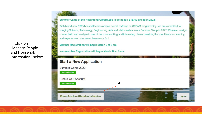4. Click on "Manage People and Household Information" below

#### Summer Camp at the Rosamond Gifford Zoo is going full STEAM ahead in 2022!

With brand new STEM-based themes and an overall re-focus on STEAM programming, we are committed to bringing Science, Technology, Engineering, Arts and Mathematics to our Summer Camp in 2022! Observe, design, create, build and analyze in one of the most exciting and interesting places possible, the zoo. Hands on learning and experiences have never been more fun!

Member Registration will begin March 2 at 9 am.

Non-member Registration will begin March 16 at 9 am.

### **Start a New Application** Summer Camp 2022 **Start application Create Your Account Start application** 4 Manage People and Household Information Logout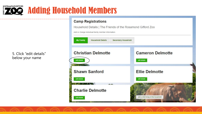### 5. Click "edit details" below your name

**\# ROSAMOND GIFFORD** 

### **Camp Registrations**

Adding Household Members

Household Details | The Friends of the Rosamond Gifford Zoo

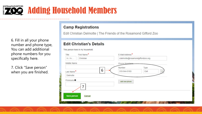

6. Fill in all your phone number and phone type, You can add additional phone numbers for you specifically here.

7. Click "Save person" when you are finished.

### **Camp Registrations**

Edit Christian Delmotte | The Friends of the Rosamond Gifford Zoo

### **Edit Christian's Details**

This person lives in my household.

| Title                 | First Name* | E-Mail Address <sup>*</sup>      |
|-----------------------|-------------|----------------------------------|
| Mr, Mx,               | Christian   | cdelmotte@rosamondgiffordzoo.org |
| Middle Name           |             | Phone Numbers                    |
|                       |             | Number<br>Type                   |
| Last Name*            | 6           | Cell<br>315-944-5163             |
| Delmotte              |             |                                  |
| Pronouns <sup>O</sup> |             | add new phone                    |
|                       | ⇁           |                                  |
|                       |             |                                  |
| <b>Save person</b>    | Cancel      |                                  |
|                       |             |                                  |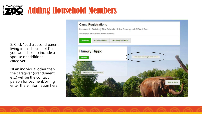# **E ROSAMOND GIFFORD <sup>Shadding</sup> Household Members**

8. Click "add a second parent living in this household" if you would like to include a spouse or additional caregiver.

\*If an individual other than the caregiver (grandparent, etc.) will be the contact person for payment/billing, enter there information here.

# **Camp Registrations** Household Details | The Friends of the Rosamond Gifford Zoo Add or change individual family member information. **Household Details Secondary Household My Family Hungry Hippo** add second parent living in this household **Back to Home**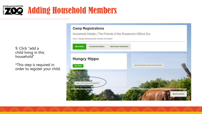

9. Click "add a child living in this household"

\*This step is required in order to register your child.

### **Camp Registrations**

Household Details | The Friends of the Rosamond Gifford Zoo

Add or change individual family member information.

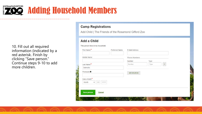

10. Fill out all required information (indicated by a red asterisk. Finish by<br>clicking "Save person."<br>Continue steps 9-10 to add more children.

### **Camp Registrations**

Add Child | The Friends of the Rosamond Gifford Zoo

| Add a Child |
|-------------|
|-------------|

This sames lives in my household

| First Name*                                                      | Preferred Name | E-Mail Address       |      |   |  |
|------------------------------------------------------------------|----------------|----------------------|------|---|--|
| Middle Name                                                      |                | <b>Phone Numbers</b> |      |   |  |
|                                                                  |                | Number               | Type |   |  |
| Last Name*                                                       |                | Number               | Type | × |  |
| Delmotte                                                         |                |                      |      |   |  |
| Pronouns <sup>O</sup>                                            |                | add new phone        |      |   |  |
| Date of birth <sup>*</sup><br><b>DD</b><br>Month<br>$\checkmark$ | YYYY           |                      |      |   |  |
|                                                                  |                |                      |      |   |  |
| <b>Save person</b>                                               | Cancel         |                      |      |   |  |
|                                                                  |                |                      |      |   |  |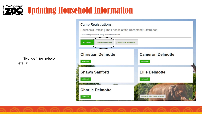

**\# ROSAMOND GIFFORD** 

### **Camp Registrations**

**DO** Updating Household Information

Household Details | The Friends of the Rosamond Gifford Zoo

Add or change individual family member information.

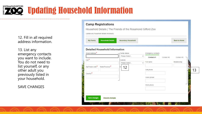# **\RUSAMOND GIFFORD** Updating Household Information

12. Fill in all required address information.

13. List any emergency contacts you want to include. You do not need to list yourself, or any other adult you previously listed in your household.

SAVE CHANGES

### **Camp Registrations**

Household Details | The Friends of the Rosamond Gifford Zoo

| <b>Detailed Household Information</b><br>Street Address <sup>*</sup> | Family status            | Emergency contacts        |            |              |
|----------------------------------------------------------------------|--------------------------|---------------------------|------------|--------------|
|                                                                      | Please Select            | v<br>Contact #1           | Contact #2 | Contact #3   |
| $City^*$                                                             | Custody<br>Please Select | Full name<br>$\checkmark$ |            | Relationship |
| State/Province*<br>Zip/Postal code*                                  | 12                       |                           |            |              |
|                                                                      |                          | Cell phone                |            |              |
| Country <sup>*</sup>                                                 |                          |                           |            |              |
|                                                                      |                          | Home phone                |            |              |
|                                                                      |                          | Work phone                |            |              |
|                                                                      |                          |                           |            |              |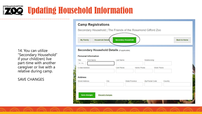# **\RUSAMOND GIFFORD** Updating Household Information

14. You can utilize "Secondary Household" if your child(ren) live part-time with another caregiver or live with a relative during camp.

SAVE CHANGES

| <b>My Family</b>               | <b>Household Details</b>                           | <b>Secondary Household</b> |                |                 |              | <b>Back to Home</b> |  |
|--------------------------------|----------------------------------------------------|----------------------------|----------------|-----------------|--------------|---------------------|--|
|                                | <b>Secondary Household Details (if applicable)</b> |                            |                |                 |              |                     |  |
| <b>Personal Information</b>    |                                                    |                            |                |                 |              |                     |  |
| First Name<br>Title<br>Mr. Mx. |                                                    | Last Name                  |                |                 | Relationship |                     |  |
| E-Mail Address                 |                                                    | Cell Phone                 | Home Phone     |                 | Work Phone   |                     |  |
| <b>Address</b>                 |                                                    |                            |                |                 |              |                     |  |
| <b>Street Address</b>          | City                                               |                            | State/Province | Zip/Postal Code |              | Country             |  |